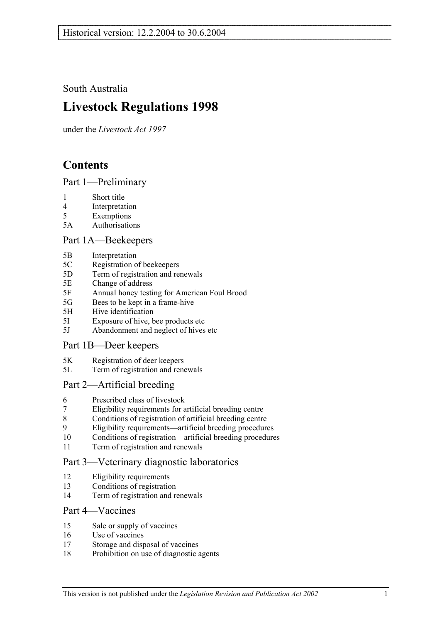South Australia

# **Livestock Regulations 1998**

under the *Livestock Act 1997*

# **Contents**

Part 1—Preliminary

- 1 Short title
- 4 Interpretation
- 5 Exemptions
- 5A Authorisations

## Part 1A—Beekeepers

- 5B Interpretation
- 5C Registration of beekeepers
- 5D Term of registration and renewals
- 5E Change of address
- 5F Annual honey testing for American Foul Brood
- 5G Bees to be kept in a frame-hive
- 5H Hive identification
- 5I Exposure of hive, bee products etc
- 5J Abandonment and neglect of hives etc

## Part 1B—Deer keepers

- 5K Registration of deer keepers
- 5L Term of registration and renewals

## Part 2—Artificial breeding

- 6 Prescribed class of livestock
- 7 Eligibility requirements for artificial breeding centre
- 8 Conditions of registration of artificial breeding centre
- 9 Eligibility requirements—artificial breeding procedures
- 10 Conditions of registration—artificial breeding procedures
- 11 Term of registration and renewals

## Part 3—Veterinary diagnostic laboratories

- 12 Eligibility requirements
- 13 Conditions of registration
- 14 Term of registration and renewals

## Part 4—Vaccines

- 15 Sale or supply of vaccines
- 16 Use of vaccines
- 17 Storage and disposal of vaccines
- 18 Prohibition on use of diagnostic agents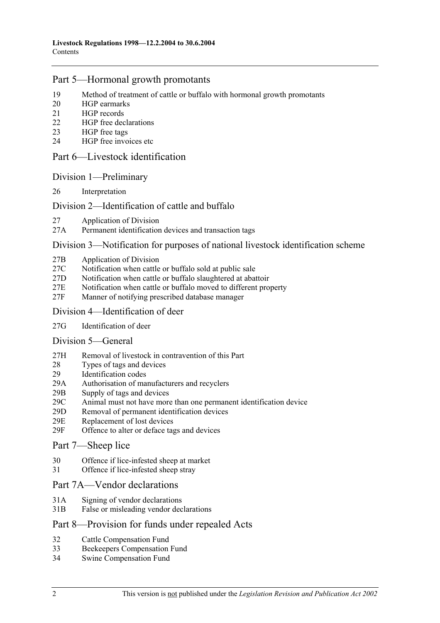## Part 5—Hormonal growth promotants

- 19 Method of treatment of cattle or buffalo with hormonal growth promotants
- 20 HGP earmarks
- 21 HGP records
- 22 HGP free declarations
- 23 HGP free tags
- 24 HGP free invoices etc

### Part 6—Livestock identification

#### Division 1—Preliminary

26 Interpretation

## Division 2—Identification of cattle and buffalo

- 27 Application of Division
- 27A Permanent identification devices and transaction tags

#### Division 3—Notification for purposes of national livestock identification scheme

- 27B Application of Division
- 27C Notification when cattle or buffalo sold at public sale
- 27D Notification when cattle or buffalo slaughtered at abattoir
- 27E Notification when cattle or buffalo moved to different property
- 27F Manner of notifying prescribed database manager

#### Division 4—Identification of deer

27G Identification of deer

#### Division 5—General

- 27H Removal of livestock in contravention of this Part
- 28 Types of tags and devices
- 29 Identification codes
- 29A Authorisation of manufacturers and recyclers
- 29B Supply of tags and devices
- 29C Animal must not have more than one permanent identification device
- 29D Removal of permanent identification devices
- 29E Replacement of lost devices
- 29F Offence to alter or deface tags and devices

#### Part 7—Sheep lice

- 30 Offence if lice-infested sheep at market
- 31 Offence if lice-infested sheep stray

### Part 7A—Vendor declarations

- 31A Signing of vendor declarations
- 31B False or misleading vendor declarations

## Part 8—Provision for funds under repealed Acts

- 32 Cattle Compensation Fund
- 33 Beekeepers Compensation Fund
- 34 Swine Compensation Fund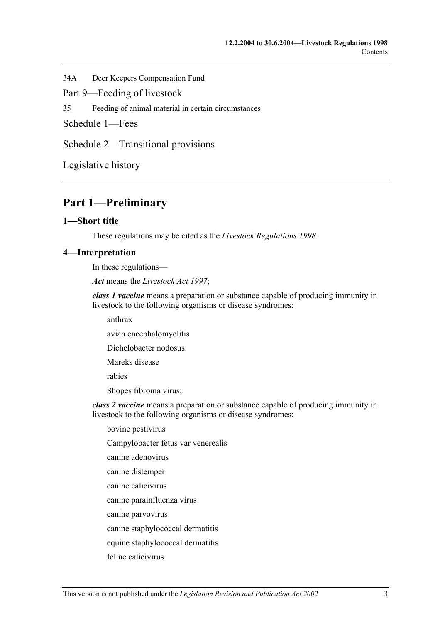34A Deer Keepers Compensation Fund

Part 9—Feeding of livestock

35 Feeding of animal material in certain circumstances

Schedule 1—Fees

Schedule 2—Transitional provisions

Legislative history

## **Part 1—Preliminary**

#### **1—Short title**

These regulations may be cited as the *Livestock Regulations 1998*.

#### **4—Interpretation**

In these regulations—

*Act* means the *Livestock Act 1997*;

*class 1 vaccine* means a preparation or substance capable of producing immunity in livestock to the following organisms or disease syndromes:

anthrax

avian encephalomyelitis

Dichelobacter nodosus

Mareks disease

rabies

Shopes fibroma virus;

*class 2 vaccine* means a preparation or substance capable of producing immunity in livestock to the following organisms or disease syndromes:

bovine pestivirus

Campylobacter fetus var venerealis

canine adenovirus

canine distemper

canine calicivirus

canine parainfluenza virus

canine parvovirus

canine staphylococcal dermatitis

equine staphylococcal dermatitis

feline calicivirus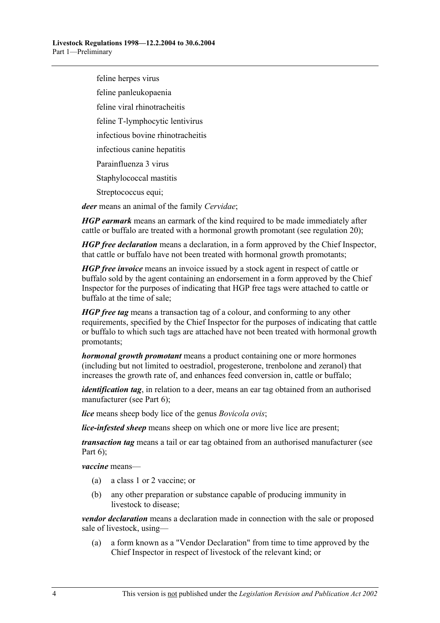feline herpes virus

feline panleukopaenia

feline viral rhinotracheitis

feline T-lymphocytic lentivirus

infectious bovine rhinotracheitis

infectious canine hepatitis

Parainfluenza 3 virus

Staphylococcal mastitis

Streptococcus equi;

*deer* means an animal of the family *Cervidae*;

*HGP earmark* means an earmark of the kind required to be made immediately after cattle or buffalo are treated with a hormonal growth promotant (see regulation 20);

*HGP free declaration* means a declaration, in a form approved by the Chief Inspector, that cattle or buffalo have not been treated with hormonal growth promotants;

*HGP free invoice* means an invoice issued by a stock agent in respect of cattle or buffalo sold by the agent containing an endorsement in a form approved by the Chief Inspector for the purposes of indicating that HGP free tags were attached to cattle or buffalo at the time of sale;

*HGP free tag* means a transaction tag of a colour, and conforming to any other requirements, specified by the Chief Inspector for the purposes of indicating that cattle or buffalo to which such tags are attached have not been treated with hormonal growth promotants;

*hormonal growth promotant* means a product containing one or more hormones (including but not limited to oestradiol, progesterone, trenbolone and zeranol) that increases the growth rate of, and enhances feed conversion in, cattle or buffalo;

*identification tag*, in relation to a deer, means an ear tag obtained from an authorised manufacturer (see Part 6);

*lice* means sheep body lice of the genus *Bovicola ovis*;

*lice-infested sheep* means sheep on which one or more live lice are present;

*transaction tag* means a tail or ear tag obtained from an authorised manufacturer (see Part  $6$ );

*vaccine* means—

- (a) a class 1 or 2 vaccine; or
- (b) any other preparation or substance capable of producing immunity in livestock to disease;

*vendor declaration* means a declaration made in connection with the sale or proposed sale of livestock, using—

 (a) a form known as a "Vendor Declaration" from time to time approved by the Chief Inspector in respect of livestock of the relevant kind; or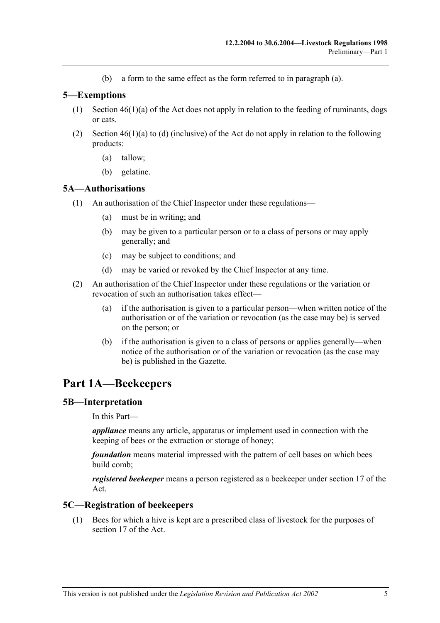(b) a form to the same effect as the form referred to in paragraph (a).

## **5—Exemptions**

- (1) Section  $46(1)(a)$  of the Act does not apply in relation to the feeding of ruminants, dogs or cats.
- (2) Section  $46(1)(a)$  to (d) (inclusive) of the Act do not apply in relation to the following products:
	- (a) tallow;
	- (b) gelatine.

## **5A—Authorisations**

- (1) An authorisation of the Chief Inspector under these regulations—
	- (a) must be in writing; and
	- (b) may be given to a particular person or to a class of persons or may apply generally; and
	- (c) may be subject to conditions; and
	- (d) may be varied or revoked by the Chief Inspector at any time.
- (2) An authorisation of the Chief Inspector under these regulations or the variation or revocation of such an authorisation takes effect—
	- (a) if the authorisation is given to a particular person—when written notice of the authorisation or of the variation or revocation (as the case may be) is served on the person; or
	- (b) if the authorisation is given to a class of persons or applies generally—when notice of the authorisation or of the variation or revocation (as the case may be) is published in the Gazette.

## **Part 1A—Beekeepers**

## **5B—Interpretation**

In this Part—

*appliance* means any article, apparatus or implement used in connection with the keeping of bees or the extraction or storage of honey;

*foundation* means material impressed with the pattern of cell bases on which bees build comb;

*registered beekeeper* means a person registered as a beekeeper under section 17 of the Act.

## **5C—Registration of beekeepers**

 (1) Bees for which a hive is kept are a prescribed class of livestock for the purposes of section 17 of the Act.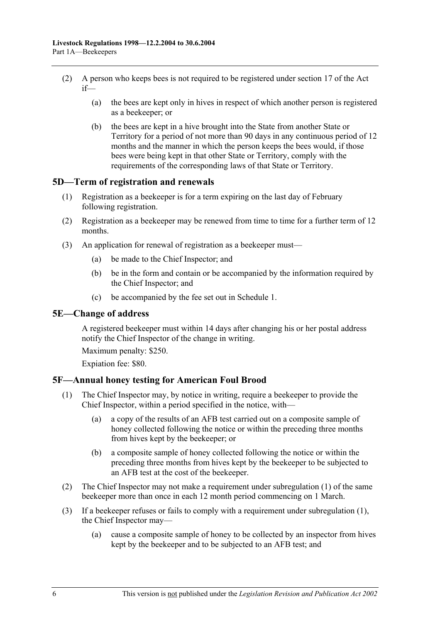- (2) A person who keeps bees is not required to be registered under section 17 of the Act  $if$ —
	- (a) the bees are kept only in hives in respect of which another person is registered as a beekeeper; or
	- (b) the bees are kept in a hive brought into the State from another State or Territory for a period of not more than 90 days in any continuous period of 12 months and the manner in which the person keeps the bees would, if those bees were being kept in that other State or Territory, comply with the requirements of the corresponding laws of that State or Territory.

#### **5D—Term of registration and renewals**

- (1) Registration as a beekeeper is for a term expiring on the last day of February following registration.
- (2) Registration as a beekeeper may be renewed from time to time for a further term of 12 months.
- (3) An application for renewal of registration as a beekeeper must—
	- (a) be made to the Chief Inspector; and
	- (b) be in the form and contain or be accompanied by the information required by the Chief Inspector; and
	- (c) be accompanied by the fee set out in Schedule 1.

#### **5E—Change of address**

A registered beekeeper must within 14 days after changing his or her postal address notify the Chief Inspector of the change in writing.

Maximum penalty: \$250.

Expiation fee: \$80.

#### **5F—Annual honey testing for American Foul Brood**

- (1) The Chief Inspector may, by notice in writing, require a beekeeper to provide the Chief Inspector, within a period specified in the notice, with—
	- (a) a copy of the results of an AFB test carried out on a composite sample of honey collected following the notice or within the preceding three months from hives kept by the beekeeper; or
	- (b) a composite sample of honey collected following the notice or within the preceding three months from hives kept by the beekeeper to be subjected to an AFB test at the cost of the beekeeper.
- (2) The Chief Inspector may not make a requirement under subregulation (1) of the same beekeeper more than once in each 12 month period commencing on 1 March.
- (3) If a beekeeper refuses or fails to comply with a requirement under subregulation (1), the Chief Inspector may—
	- (a) cause a composite sample of honey to be collected by an inspector from hives kept by the beekeeper and to be subjected to an AFB test; and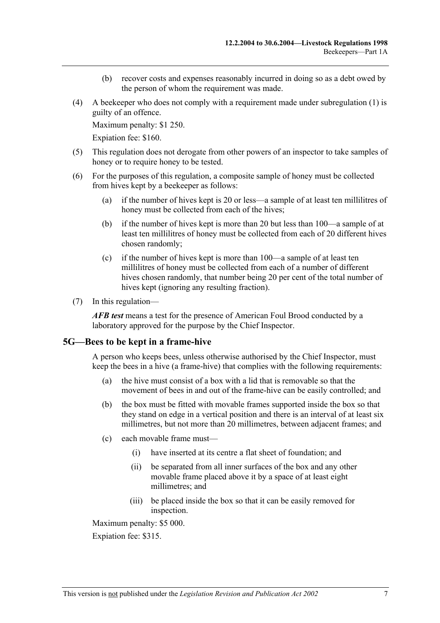- (b) recover costs and expenses reasonably incurred in doing so as a debt owed by the person of whom the requirement was made.
- (4) A beekeeper who does not comply with a requirement made under subregulation (1) is guilty of an offence.

Maximum penalty: \$1 250.

Expiation fee: \$160.

- (5) This regulation does not derogate from other powers of an inspector to take samples of honey or to require honey to be tested.
- (6) For the purposes of this regulation, a composite sample of honey must be collected from hives kept by a beekeeper as follows:
	- (a) if the number of hives kept is 20 or less—a sample of at least ten millilitres of honey must be collected from each of the hives;
	- (b) if the number of hives kept is more than 20 but less than 100—a sample of at least ten millilitres of honey must be collected from each of 20 different hives chosen randomly;
	- (c) if the number of hives kept is more than 100—a sample of at least ten millilitres of honey must be collected from each of a number of different hives chosen randomly, that number being 20 per cent of the total number of hives kept (ignoring any resulting fraction).
- (7) In this regulation—

*AFB test* means a test for the presence of American Foul Brood conducted by a laboratory approved for the purpose by the Chief Inspector.

#### **5G—Bees to be kept in a frame-hive**

A person who keeps bees, unless otherwise authorised by the Chief Inspector, must keep the bees in a hive (a frame-hive) that complies with the following requirements:

- (a) the hive must consist of a box with a lid that is removable so that the movement of bees in and out of the frame-hive can be easily controlled; and
- (b) the box must be fitted with movable frames supported inside the box so that they stand on edge in a vertical position and there is an interval of at least six millimetres, but not more than 20 millimetres, between adjacent frames; and
- (c) each movable frame must—
	- (i) have inserted at its centre a flat sheet of foundation; and
	- (ii) be separated from all inner surfaces of the box and any other movable frame placed above it by a space of at least eight millimetres; and
	- (iii) be placed inside the box so that it can be easily removed for inspection.

Maximum penalty: \$5 000.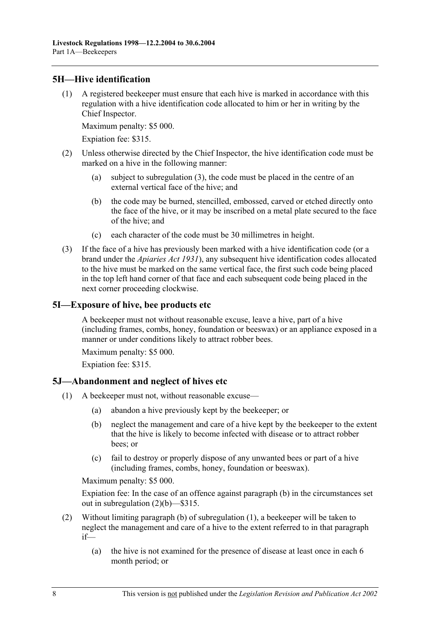## **5H—Hive identification**

 (1) A registered beekeeper must ensure that each hive is marked in accordance with this regulation with a hive identification code allocated to him or her in writing by the Chief Inspector.

Maximum penalty: \$5 000.

Expiation fee: \$315.

- (2) Unless otherwise directed by the Chief Inspector, the hive identification code must be marked on a hive in the following manner:
	- (a) subject to subregulation (3), the code must be placed in the centre of an external vertical face of the hive; and
	- (b) the code may be burned, stencilled, embossed, carved or etched directly onto the face of the hive, or it may be inscribed on a metal plate secured to the face of the hive; and
	- (c) each character of the code must be 30 millimetres in height.
- (3) If the face of a hive has previously been marked with a hive identification code (or a brand under the *Apiaries Act 1931*), any subsequent hive identification codes allocated to the hive must be marked on the same vertical face, the first such code being placed in the top left hand corner of that face and each subsequent code being placed in the next corner proceeding clockwise.

## **5I—Exposure of hive, bee products etc**

A beekeeper must not without reasonable excuse, leave a hive, part of a hive (including frames, combs, honey, foundation or beeswax) or an appliance exposed in a manner or under conditions likely to attract robber bees.

Maximum penalty: \$5 000.

Expiation fee: \$315.

## **5J—Abandonment and neglect of hives etc**

- (1) A beekeeper must not, without reasonable excuse—
	- (a) abandon a hive previously kept by the beekeeper; or
	- (b) neglect the management and care of a hive kept by the beekeeper to the extent that the hive is likely to become infected with disease or to attract robber bees; or
	- (c) fail to destroy or properly dispose of any unwanted bees or part of a hive (including frames, combs, honey, foundation or beeswax).

Maximum penalty: \$5 000.

Expiation fee: In the case of an offence against paragraph (b) in the circumstances set out in subregulation (2)(b)—\$315.

- (2) Without limiting paragraph (b) of subregulation (1), a beekeeper will be taken to neglect the management and care of a hive to the extent referred to in that paragraph if—
	- (a) the hive is not examined for the presence of disease at least once in each 6 month period; or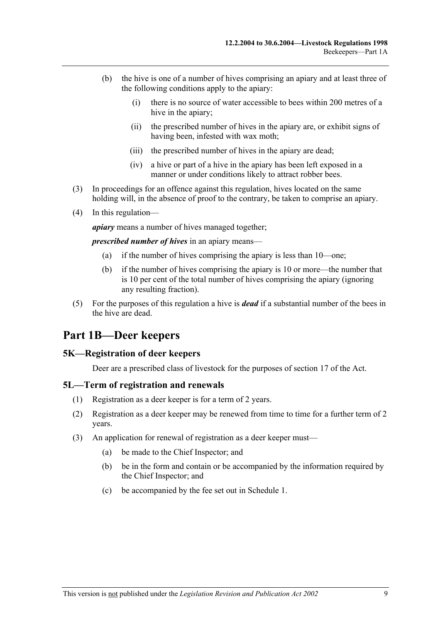- (b) the hive is one of a number of hives comprising an apiary and at least three of the following conditions apply to the apiary:
	- (i) there is no source of water accessible to bees within 200 metres of a hive in the apiary:
	- (ii) the prescribed number of hives in the apiary are, or exhibit signs of having been, infested with wax moth;
	- (iii) the prescribed number of hives in the apiary are dead;
	- (iv) a hive or part of a hive in the apiary has been left exposed in a manner or under conditions likely to attract robber bees.
- (3) In proceedings for an offence against this regulation, hives located on the same holding will, in the absence of proof to the contrary, be taken to comprise an apiary.
- (4) In this regulation—

*apiary* means a number of hives managed together;

*prescribed number of hives* in an apiary means—

- (a) if the number of hives comprising the apiary is less than 10—one;
- (b) if the number of hives comprising the apiary is 10 or more—the number that is 10 per cent of the total number of hives comprising the apiary (ignoring any resulting fraction).
- (5) For the purposes of this regulation a hive is *dead* if a substantial number of the bees in the hive are dead.

## **Part 1B—Deer keepers**

#### **5K—Registration of deer keepers**

Deer are a prescribed class of livestock for the purposes of section 17 of the Act.

#### **5L—Term of registration and renewals**

- (1) Registration as a deer keeper is for a term of 2 years.
- (2) Registration as a deer keeper may be renewed from time to time for a further term of 2 years.
- (3) An application for renewal of registration as a deer keeper must—
	- (a) be made to the Chief Inspector; and
	- (b) be in the form and contain or be accompanied by the information required by the Chief Inspector; and
	- (c) be accompanied by the fee set out in Schedule 1.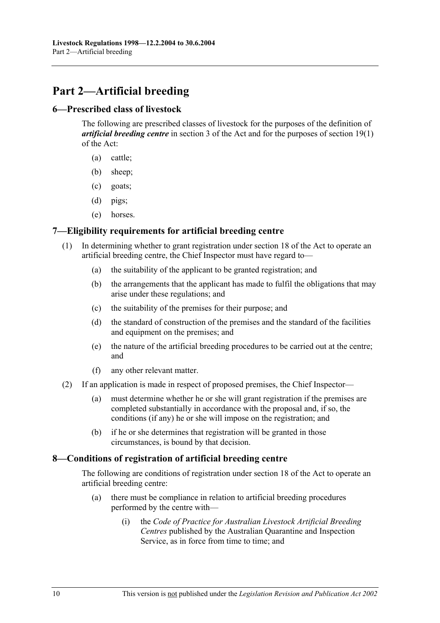# **Part 2—Artificial breeding**

## **6—Prescribed class of livestock**

The following are prescribed classes of livestock for the purposes of the definition of *artificial breeding centre* in section 3 of the Act and for the purposes of section 19(1) of the Act:

- (a) cattle;
- (b) sheep;
- (c) goats;
- (d) pigs;
- (e) horses.

## **7—Eligibility requirements for artificial breeding centre**

- (1) In determining whether to grant registration under section 18 of the Act to operate an artificial breeding centre, the Chief Inspector must have regard to—
	- (a) the suitability of the applicant to be granted registration; and
	- (b) the arrangements that the applicant has made to fulfil the obligations that may arise under these regulations; and
	- (c) the suitability of the premises for their purpose; and
	- (d) the standard of construction of the premises and the standard of the facilities and equipment on the premises; and
	- (e) the nature of the artificial breeding procedures to be carried out at the centre; and
	- (f) any other relevant matter.
- (2) If an application is made in respect of proposed premises, the Chief Inspector—
	- (a) must determine whether he or she will grant registration if the premises are completed substantially in accordance with the proposal and, if so, the conditions (if any) he or she will impose on the registration; and
	- (b) if he or she determines that registration will be granted in those circumstances, is bound by that decision.

## **8—Conditions of registration of artificial breeding centre**

The following are conditions of registration under section 18 of the Act to operate an artificial breeding centre:

- (a) there must be compliance in relation to artificial breeding procedures performed by the centre with—
	- (i) the *Code of Practice for Australian Livestock Artificial Breeding Centres* published by the Australian Quarantine and Inspection Service, as in force from time to time; and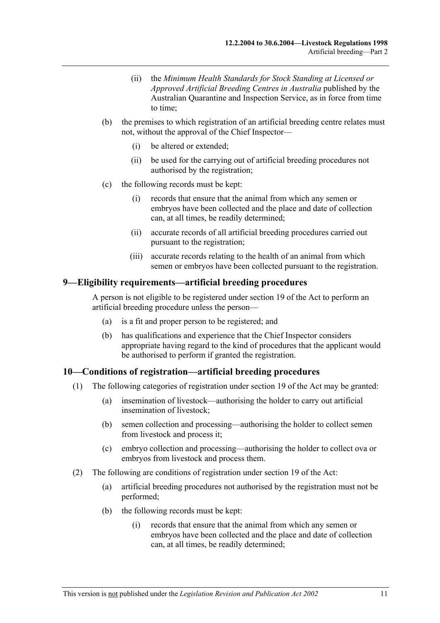- (ii) the *Minimum Health Standards for Stock Standing at Licensed or Approved Artificial Breeding Centres in Australia* published by the Australian Quarantine and Inspection Service, as in force from time to time;
- (b) the premises to which registration of an artificial breeding centre relates must not, without the approval of the Chief Inspector—
	- (i) be altered or extended;
	- (ii) be used for the carrying out of artificial breeding procedures not authorised by the registration;
- (c) the following records must be kept:
	- (i) records that ensure that the animal from which any semen or embryos have been collected and the place and date of collection can, at all times, be readily determined;
	- (ii) accurate records of all artificial breeding procedures carried out pursuant to the registration;
	- (iii) accurate records relating to the health of an animal from which semen or embryos have been collected pursuant to the registration.

#### **9—Eligibility requirements—artificial breeding procedures**

A person is not eligible to be registered under section 19 of the Act to perform an artificial breeding procedure unless the person—

- (a) is a fit and proper person to be registered; and
- (b) has qualifications and experience that the Chief Inspector considers appropriate having regard to the kind of procedures that the applicant would be authorised to perform if granted the registration.

## **10—Conditions of registration—artificial breeding procedures**

- (1) The following categories of registration under section 19 of the Act may be granted:
	- (a) insemination of livestock—authorising the holder to carry out artificial insemination of livestock;
	- (b) semen collection and processing—authorising the holder to collect semen from livestock and process it;
	- (c) embryo collection and processing—authorising the holder to collect ova or embryos from livestock and process them.
- (2) The following are conditions of registration under section 19 of the Act:
	- (a) artificial breeding procedures not authorised by the registration must not be performed;
	- (b) the following records must be kept:
		- (i) records that ensure that the animal from which any semen or embryos have been collected and the place and date of collection can, at all times, be readily determined;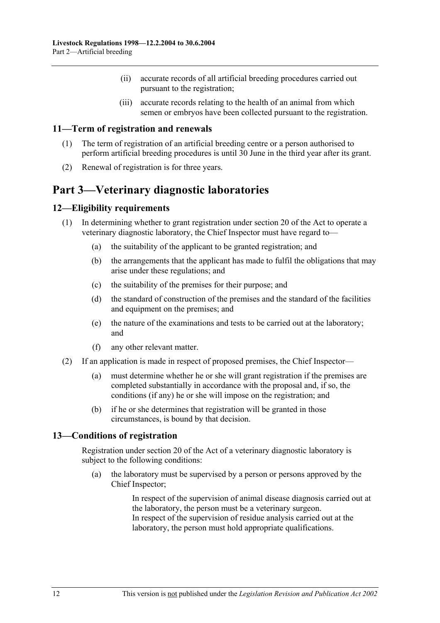- (ii) accurate records of all artificial breeding procedures carried out pursuant to the registration;
- (iii) accurate records relating to the health of an animal from which semen or embryos have been collected pursuant to the registration.

### **11—Term of registration and renewals**

- (1) The term of registration of an artificial breeding centre or a person authorised to perform artificial breeding procedures is until 30 June in the third year after its grant.
- (2) Renewal of registration is for three years.

## **Part 3—Veterinary diagnostic laboratories**

## **12—Eligibility requirements**

- (1) In determining whether to grant registration under section 20 of the Act to operate a veterinary diagnostic laboratory, the Chief Inspector must have regard to—
	- (a) the suitability of the applicant to be granted registration; and
	- (b) the arrangements that the applicant has made to fulfil the obligations that may arise under these regulations; and
	- (c) the suitability of the premises for their purpose; and
	- (d) the standard of construction of the premises and the standard of the facilities and equipment on the premises; and
	- (e) the nature of the examinations and tests to be carried out at the laboratory; and
	- (f) any other relevant matter.
- (2) If an application is made in respect of proposed premises, the Chief Inspector—
	- (a) must determine whether he or she will grant registration if the premises are completed substantially in accordance with the proposal and, if so, the conditions (if any) he or she will impose on the registration; and
	- (b) if he or she determines that registration will be granted in those circumstances, is bound by that decision.

#### **13—Conditions of registration**

Registration under section 20 of the Act of a veterinary diagnostic laboratory is subject to the following conditions:

 (a) the laboratory must be supervised by a person or persons approved by the Chief Inspector;

> In respect of the supervision of animal disease diagnosis carried out at the laboratory, the person must be a veterinary surgeon. In respect of the supervision of residue analysis carried out at the laboratory, the person must hold appropriate qualifications.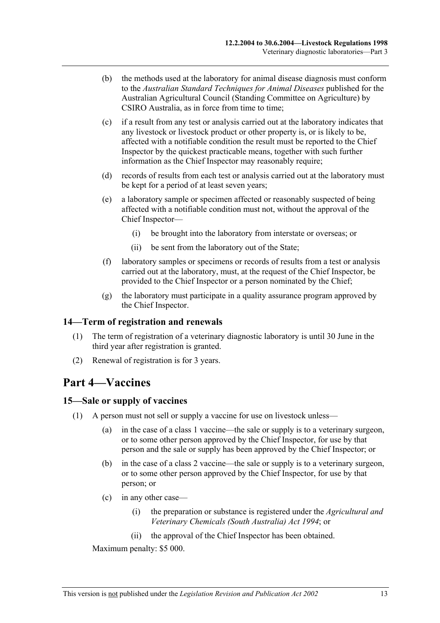- (b) the methods used at the laboratory for animal disease diagnosis must conform to the *Australian Standard Techniques for Animal Diseases* published for the Australian Agricultural Council (Standing Committee on Agriculture) by CSIRO Australia, as in force from time to time;
- (c) if a result from any test or analysis carried out at the laboratory indicates that any livestock or livestock product or other property is, or is likely to be, affected with a notifiable condition the result must be reported to the Chief Inspector by the quickest practicable means, together with such further information as the Chief Inspector may reasonably require;
- (d) records of results from each test or analysis carried out at the laboratory must be kept for a period of at least seven years;
- (e) a laboratory sample or specimen affected or reasonably suspected of being affected with a notifiable condition must not, without the approval of the Chief Inspector—
	- (i) be brought into the laboratory from interstate or overseas; or
	- (ii) be sent from the laboratory out of the State;
- (f) laboratory samples or specimens or records of results from a test or analysis carried out at the laboratory, must, at the request of the Chief Inspector, be provided to the Chief Inspector or a person nominated by the Chief;
- (g) the laboratory must participate in a quality assurance program approved by the Chief Inspector.

## **14—Term of registration and renewals**

- (1) The term of registration of a veterinary diagnostic laboratory is until 30 June in the third year after registration is granted.
- (2) Renewal of registration is for 3 years.

## **Part 4—Vaccines**

#### **15—Sale or supply of vaccines**

- (1) A person must not sell or supply a vaccine for use on livestock unless—
	- (a) in the case of a class 1 vaccine—the sale or supply is to a veterinary surgeon, or to some other person approved by the Chief Inspector, for use by that person and the sale or supply has been approved by the Chief Inspector; or
	- (b) in the case of a class 2 vaccine—the sale or supply is to a veterinary surgeon, or to some other person approved by the Chief Inspector, for use by that person; or
	- (c) in any other case—
		- (i) the preparation or substance is registered under the *Agricultural and Veterinary Chemicals (South Australia) Act 1994*; or
		- (ii) the approval of the Chief Inspector has been obtained.

Maximum penalty: \$5 000.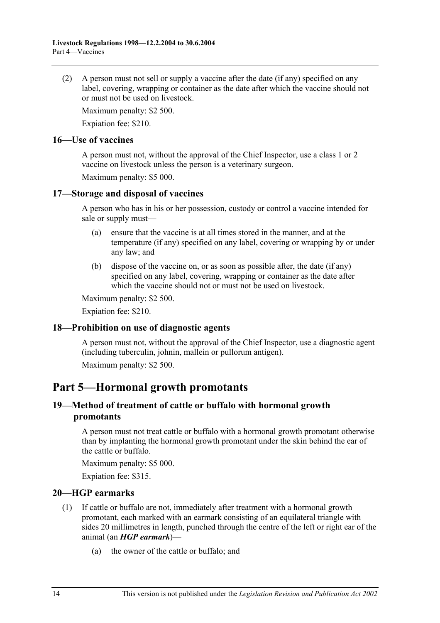(2) A person must not sell or supply a vaccine after the date (if any) specified on any label, covering, wrapping or container as the date after which the vaccine should not or must not be used on livestock.

Maximum penalty: \$2 500.

Expiation fee: \$210.

### **16—Use of vaccines**

A person must not, without the approval of the Chief Inspector, use a class 1 or 2 vaccine on livestock unless the person is a veterinary surgeon.

Maximum penalty: \$5 000.

## **17—Storage and disposal of vaccines**

A person who has in his or her possession, custody or control a vaccine intended for sale or supply must—

- (a) ensure that the vaccine is at all times stored in the manner, and at the temperature (if any) specified on any label, covering or wrapping by or under any law; and
- (b) dispose of the vaccine on, or as soon as possible after, the date (if any) specified on any label, covering, wrapping or container as the date after which the vaccine should not or must not be used on livestock.

Maximum penalty: \$2 500.

Expiation fee: \$210.

## **18—Prohibition on use of diagnostic agents**

A person must not, without the approval of the Chief Inspector, use a diagnostic agent (including tuberculin, johnin, mallein or pullorum antigen).

Maximum penalty: \$2 500.

## **Part 5—Hormonal growth promotants**

## **19—Method of treatment of cattle or buffalo with hormonal growth promotants**

A person must not treat cattle or buffalo with a hormonal growth promotant otherwise than by implanting the hormonal growth promotant under the skin behind the ear of the cattle or buffalo.

Maximum penalty: \$5 000.

Expiation fee: \$315.

## **20—HGP earmarks**

- (1) If cattle or buffalo are not, immediately after treatment with a hormonal growth promotant, each marked with an earmark consisting of an equilateral triangle with sides 20 millimetres in length, punched through the centre of the left or right ear of the animal (an *HGP earmark*)—
	- (a) the owner of the cattle or buffalo; and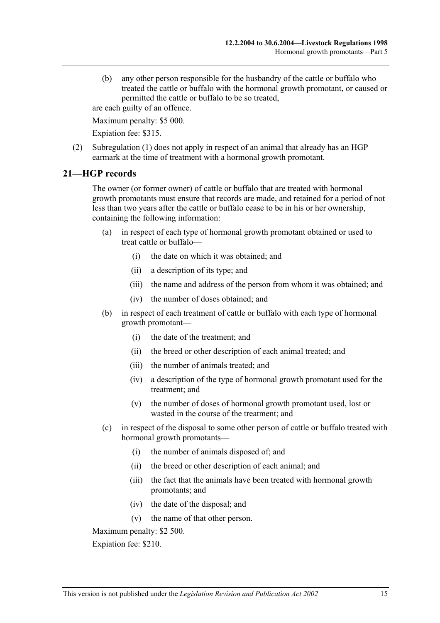(b) any other person responsible for the husbandry of the cattle or buffalo who treated the cattle or buffalo with the hormonal growth promotant, or caused or permitted the cattle or buffalo to be so treated,

are each guilty of an offence.

Maximum penalty: \$5 000.

Expiation fee: \$315.

 (2) Subregulation (1) does not apply in respect of an animal that already has an HGP earmark at the time of treatment with a hormonal growth promotant.

## **21—HGP records**

The owner (or former owner) of cattle or buffalo that are treated with hormonal growth promotants must ensure that records are made, and retained for a period of not less than two years after the cattle or buffalo cease to be in his or her ownership, containing the following information:

- (a) in respect of each type of hormonal growth promotant obtained or used to treat cattle or buffalo—
	- (i) the date on which it was obtained; and
	- (ii) a description of its type; and
	- (iii) the name and address of the person from whom it was obtained; and
	- (iv) the number of doses obtained; and
- (b) in respect of each treatment of cattle or buffalo with each type of hormonal growth promotant—
	- (i) the date of the treatment; and
	- (ii) the breed or other description of each animal treated; and
	- (iii) the number of animals treated; and
	- (iv) a description of the type of hormonal growth promotant used for the treatment; and
	- (v) the number of doses of hormonal growth promotant used, lost or wasted in the course of the treatment; and
- (c) in respect of the disposal to some other person of cattle or buffalo treated with hormonal growth promotants—
	- (i) the number of animals disposed of; and
	- (ii) the breed or other description of each animal; and
	- (iii) the fact that the animals have been treated with hormonal growth promotants; and
	- (iv) the date of the disposal; and
	- (v) the name of that other person.

Maximum penalty: \$2 500.

Expiation fee: \$210.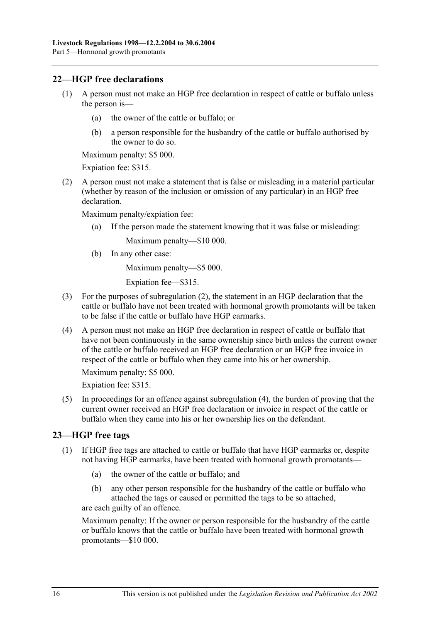## **22—HGP free declarations**

- (1) A person must not make an HGP free declaration in respect of cattle or buffalo unless the person is—
	- (a) the owner of the cattle or buffalo; or
	- (b) a person responsible for the husbandry of the cattle or buffalo authorised by the owner to do so.

Maximum penalty: \$5 000.

Expiation fee: \$315.

 (2) A person must not make a statement that is false or misleading in a material particular (whether by reason of the inclusion or omission of any particular) in an HGP free declaration.

Maximum penalty/expiation fee:

(a) If the person made the statement knowing that it was false or misleading:

Maximum penalty—\$10 000.

(b) In any other case:

Maximum penalty—\$5 000.

Expiation fee—\$315.

- (3) For the purposes of subregulation (2), the statement in an HGP declaration that the cattle or buffalo have not been treated with hormonal growth promotants will be taken to be false if the cattle or buffalo have HGP earmarks.
- (4) A person must not make an HGP free declaration in respect of cattle or buffalo that have not been continuously in the same ownership since birth unless the current owner of the cattle or buffalo received an HGP free declaration or an HGP free invoice in respect of the cattle or buffalo when they came into his or her ownership.

Maximum penalty: \$5 000.

Expiation fee: \$315.

 (5) In proceedings for an offence against subregulation (4), the burden of proving that the current owner received an HGP free declaration or invoice in respect of the cattle or buffalo when they came into his or her ownership lies on the defendant.

## **23—HGP free tags**

- (1) If HGP free tags are attached to cattle or buffalo that have HGP earmarks or, despite not having HGP earmarks, have been treated with hormonal growth promotants—
	- (a) the owner of the cattle or buffalo; and
	- (b) any other person responsible for the husbandry of the cattle or buffalo who attached the tags or caused or permitted the tags to be so attached, are each guilty of an offence.

Maximum penalty: If the owner or person responsible for the husbandry of the cattle or buffalo knows that the cattle or buffalo have been treated with hormonal growth promotants—\$10 000.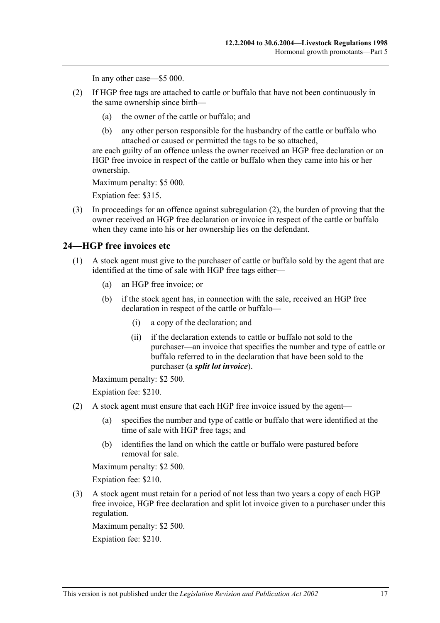In any other case—\$5 000.

- (2) If HGP free tags are attached to cattle or buffalo that have not been continuously in the same ownership since birth—
	- (a) the owner of the cattle or buffalo; and
	- (b) any other person responsible for the husbandry of the cattle or buffalo who attached or caused or permitted the tags to be so attached,

are each guilty of an offence unless the owner received an HGP free declaration or an HGP free invoice in respect of the cattle or buffalo when they came into his or her ownership.

Maximum penalty: \$5 000.

Expiation fee: \$315.

 (3) In proceedings for an offence against subregulation (2), the burden of proving that the owner received an HGP free declaration or invoice in respect of the cattle or buffalo when they came into his or her ownership lies on the defendant.

#### **24—HGP free invoices etc**

- (1) A stock agent must give to the purchaser of cattle or buffalo sold by the agent that are identified at the time of sale with HGP free tags either—
	- (a) an HGP free invoice; or
	- (b) if the stock agent has, in connection with the sale, received an HGP free declaration in respect of the cattle or buffalo—
		- (i) a copy of the declaration; and
		- (ii) if the declaration extends to cattle or buffalo not sold to the purchaser—an invoice that specifies the number and type of cattle or buffalo referred to in the declaration that have been sold to the purchaser (a *split lot invoice*).

Maximum penalty: \$2 500. Expiation fee: \$210.

- (2) A stock agent must ensure that each HGP free invoice issued by the agent—
	- (a) specifies the number and type of cattle or buffalo that were identified at the time of sale with HGP free tags; and
	- (b) identifies the land on which the cattle or buffalo were pastured before removal for sale.

Maximum penalty: \$2 500.

Expiation fee: \$210.

 (3) A stock agent must retain for a period of not less than two years a copy of each HGP free invoice, HGP free declaration and split lot invoice given to a purchaser under this regulation.

Maximum penalty: \$2 500.

Expiation fee: \$210.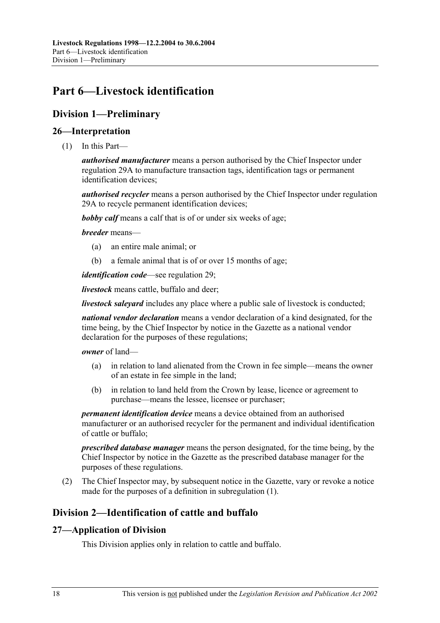# **Part 6—Livestock identification**

## **Division 1—Preliminary**

## **26—Interpretation**

(1) In this Part—

*authorised manufacturer* means a person authorised by the Chief Inspector under regulation 29A to manufacture transaction tags, identification tags or permanent identification devices;

*authorised recycler* means a person authorised by the Chief Inspector under regulation 29A to recycle permanent identification devices;

*bobby calf* means a calf that is of or under six weeks of age;

#### *breeder* means—

- (a) an entire male animal; or
- (b) a female animal that is of or over 15 months of age;

*identification code*—see regulation 29;

*livestock* means cattle, buffalo and deer;

*livestock saleyard* includes any place where a public sale of livestock is conducted;

*national vendor declaration* means a vendor declaration of a kind designated, for the time being, by the Chief Inspector by notice in the Gazette as a national vendor declaration for the purposes of these regulations;

#### *owner* of land—

- (a) in relation to land alienated from the Crown in fee simple—means the owner of an estate in fee simple in the land;
- (b) in relation to land held from the Crown by lease, licence or agreement to purchase—means the lessee, licensee or purchaser;

*permanent identification device* means a device obtained from an authorised manufacturer or an authorised recycler for the permanent and individual identification of cattle or buffalo;

*prescribed database manager* means the person designated, for the time being, by the Chief Inspector by notice in the Gazette as the prescribed database manager for the purposes of these regulations.

 (2) The Chief Inspector may, by subsequent notice in the Gazette, vary or revoke a notice made for the purposes of a definition in subregulation (1).

## **Division 2—Identification of cattle and buffalo**

## **27—Application of Division**

This Division applies only in relation to cattle and buffalo.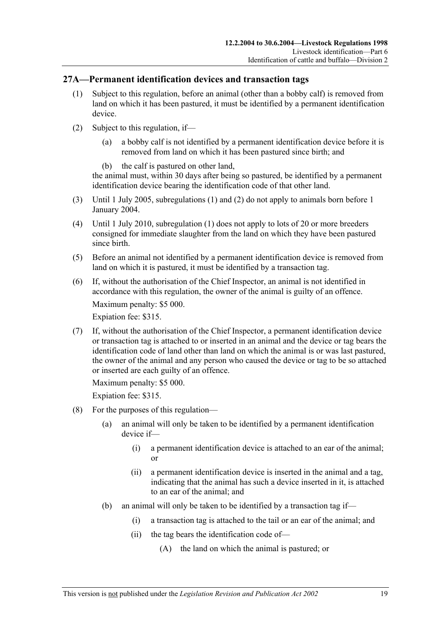## **27A—Permanent identification devices and transaction tags**

- (1) Subject to this regulation, before an animal (other than a bobby calf) is removed from land on which it has been pastured, it must be identified by a permanent identification device.
- (2) Subject to this regulation, if—
	- (a) a bobby calf is not identified by a permanent identification device before it is removed from land on which it has been pastured since birth; and
	- (b) the calf is pastured on other land,

the animal must, within 30 days after being so pastured, be identified by a permanent identification device bearing the identification code of that other land.

- (3) Until 1 July 2005, subregulations (1) and (2) do not apply to animals born before 1 January 2004.
- (4) Until 1 July 2010, subregulation (1) does not apply to lots of 20 or more breeders consigned for immediate slaughter from the land on which they have been pastured since birth.
- (5) Before an animal not identified by a permanent identification device is removed from land on which it is pastured, it must be identified by a transaction tag.
- (6) If, without the authorisation of the Chief Inspector, an animal is not identified in accordance with this regulation, the owner of the animal is guilty of an offence.

Maximum penalty: \$5 000.

Expiation fee: \$315.

 (7) If, without the authorisation of the Chief Inspector, a permanent identification device or transaction tag is attached to or inserted in an animal and the device or tag bears the identification code of land other than land on which the animal is or was last pastured, the owner of the animal and any person who caused the device or tag to be so attached or inserted are each guilty of an offence.

Maximum penalty: \$5 000.

- (8) For the purposes of this regulation—
	- (a) an animal will only be taken to be identified by a permanent identification device if—
		- (i) a permanent identification device is attached to an ear of the animal; or
		- (ii) a permanent identification device is inserted in the animal and a tag, indicating that the animal has such a device inserted in it, is attached to an ear of the animal; and
	- (b) an animal will only be taken to be identified by a transaction tag if—
		- (i) a transaction tag is attached to the tail or an ear of the animal; and
		- (ii) the tag bears the identification code of—
			- (A) the land on which the animal is pastured; or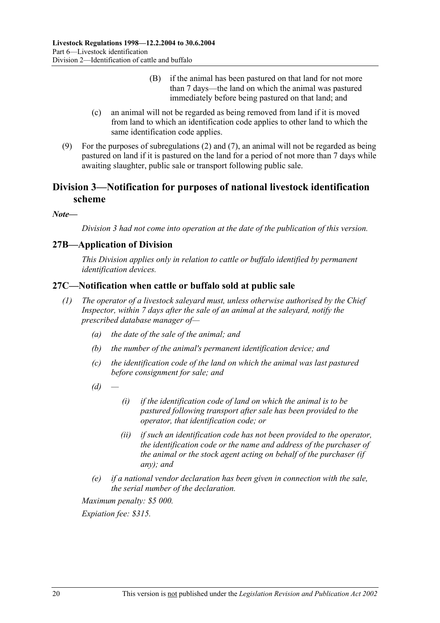- (B) if the animal has been pastured on that land for not more than 7 days—the land on which the animal was pastured immediately before being pastured on that land; and
- (c) an animal will not be regarded as being removed from land if it is moved from land to which an identification code applies to other land to which the same identification code applies.
- (9) For the purposes of subregulations (2) and (7), an animal will not be regarded as being pastured on land if it is pastured on the land for a period of not more than 7 days while awaiting slaughter, public sale or transport following public sale.

## **Division 3—Notification for purposes of national livestock identification scheme**

#### *Note—*

*Division 3 had not come into operation at the date of the publication of this version.* 

## **27B—Application of Division**

*This Division applies only in relation to cattle or buffalo identified by permanent identification devices.* 

## **27C—Notification when cattle or buffalo sold at public sale**

- *(1) The operator of a livestock saleyard must, unless otherwise authorised by the Chief Inspector, within 7 days after the sale of an animal at the saleyard, notify the prescribed database manager of—* 
	- *(a) the date of the sale of the animal; and*
	- *(b) the number of the animal's permanent identification device; and*
	- *(c) the identification code of the land on which the animal was last pastured before consignment for sale; and*
	- $(d)$
- *(i) if the identification code of land on which the animal is to be pastured following transport after sale has been provided to the operator, that identification code; or*
- *(ii) if such an identification code has not been provided to the operator, the identification code or the name and address of the purchaser of the animal or the stock agent acting on behalf of the purchaser (if any); and*
- *(e) if a national vendor declaration has been given in connection with the sale, the serial number of the declaration.*

*Maximum penalty: \$5 000.*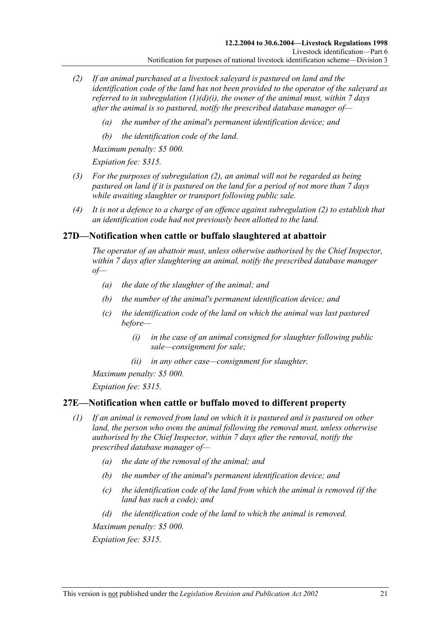- *(2) If an animal purchased at a livestock saleyard is pastured on land and the identification code of the land has not been provided to the operator of the saleyard as referred to in subregulation (1)(d)(i), the owner of the animal must, within 7 days after the animal is so pastured, notify the prescribed database manager of—* 
	- *(a) the number of the animal's permanent identification device; and*
	- *(b) the identification code of the land.*

*Maximum penalty: \$5 000.* 

*Expiation fee: \$315.* 

- *(3) For the purposes of subregulation (2), an animal will not be regarded as being pastured on land if it is pastured on the land for a period of not more than 7 days while awaiting slaughter or transport following public sale.*
- *(4) It is not a defence to a charge of an offence against subregulation (2) to establish that an identification code had not previously been allotted to the land.*

## **27D—Notification when cattle or buffalo slaughtered at abattoir**

*The operator of an abattoir must, unless otherwise authorised by the Chief Inspector, within 7 days after slaughtering an animal, notify the prescribed database manager*   $of$ 

- *(a) the date of the slaughter of the animal; and*
- *(b) the number of the animal's permanent identification device; and*
- *(c) the identification code of the land on which the animal was last pastured before—* 
	- *(i) in the case of an animal consigned for slaughter following public sale—consignment for sale;*
	- *(ii) in any other case—consignment for slaughter.*

*Maximum penalty: \$5 000.* 

*Expiation fee: \$315.* 

## **27E—Notification when cattle or buffalo moved to different property**

- *(1) If an animal is removed from land on which it is pastured and is pastured on other land, the person who owns the animal following the removal must, unless otherwise authorised by the Chief Inspector, within 7 days after the removal, notify the prescribed database manager of—* 
	- *(a) the date of the removal of the animal; and*
	- *(b) the number of the animal's permanent identification device; and*
	- *(c) the identification code of the land from which the animal is removed (if the land has such a code); and*
	- *(d) the identification code of the land to which the animal is removed.*

*Maximum penalty: \$5 000.*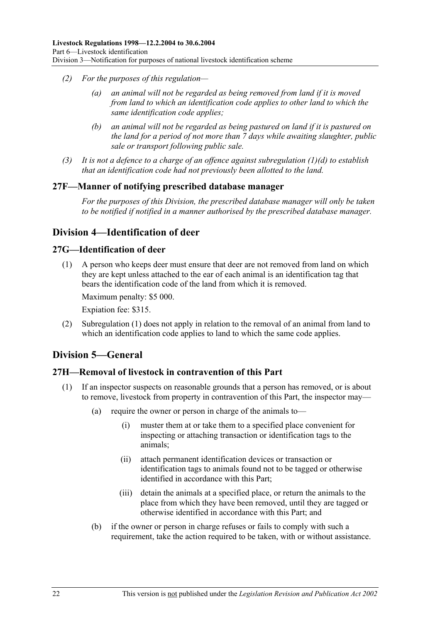- *(2) For the purposes of this regulation—* 
	- *(a) an animal will not be regarded as being removed from land if it is moved from land to which an identification code applies to other land to which the same identification code applies;*
	- *(b) an animal will not be regarded as being pastured on land if it is pastured on the land for a period of not more than 7 days while awaiting slaughter, public sale or transport following public sale.*
- *(3) It is not a defence to a charge of an offence against subregulation (1)(d) to establish that an identification code had not previously been allotted to the land.*

## **27F—Manner of notifying prescribed database manager**

*For the purposes of this Division, the prescribed database manager will only be taken to be notified if notified in a manner authorised by the prescribed database manager.* 

## **Division 4—Identification of deer**

## **27G—Identification of deer**

 (1) A person who keeps deer must ensure that deer are not removed from land on which they are kept unless attached to the ear of each animal is an identification tag that bears the identification code of the land from which it is removed.

Maximum penalty: \$5 000.

Expiation fee: \$315.

 (2) Subregulation (1) does not apply in relation to the removal of an animal from land to which an identification code applies to land to which the same code applies.

## **Division 5—General**

## **27H—Removal of livestock in contravention of this Part**

- (1) If an inspector suspects on reasonable grounds that a person has removed, or is about to remove, livestock from property in contravention of this Part, the inspector may—
	- (a) require the owner or person in charge of the animals to—
		- (i) muster them at or take them to a specified place convenient for inspecting or attaching transaction or identification tags to the animals;
		- (ii) attach permanent identification devices or transaction or identification tags to animals found not to be tagged or otherwise identified in accordance with this Part;
		- (iii) detain the animals at a specified place, or return the animals to the place from which they have been removed, until they are tagged or otherwise identified in accordance with this Part; and
	- (b) if the owner or person in charge refuses or fails to comply with such a requirement, take the action required to be taken, with or without assistance.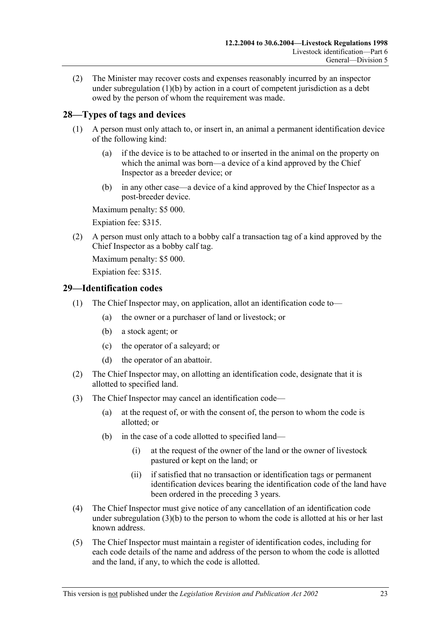(2) The Minister may recover costs and expenses reasonably incurred by an inspector under subregulation (1)(b) by action in a court of competent jurisdiction as a debt owed by the person of whom the requirement was made.

## **28—Types of tags and devices**

- (1) A person must only attach to, or insert in, an animal a permanent identification device of the following kind:
	- (a) if the device is to be attached to or inserted in the animal on the property on which the animal was born—a device of a kind approved by the Chief Inspector as a breeder device; or
	- (b) in any other case—a device of a kind approved by the Chief Inspector as a post-breeder device.

Maximum penalty: \$5 000.

Expiation fee: \$315.

 (2) A person must only attach to a bobby calf a transaction tag of a kind approved by the Chief Inspector as a bobby calf tag.

Maximum penalty: \$5 000.

Expiation fee: \$315.

## **29—Identification codes**

- (1) The Chief Inspector may, on application, allot an identification code to—
	- (a) the owner or a purchaser of land or livestock; or
	- (b) a stock agent; or
	- (c) the operator of a saleyard; or
	- (d) the operator of an abattoir.
- (2) The Chief Inspector may, on allotting an identification code, designate that it is allotted to specified land.
- (3) The Chief Inspector may cancel an identification code—
	- (a) at the request of, or with the consent of, the person to whom the code is allotted; or
	- (b) in the case of a code allotted to specified land—
		- (i) at the request of the owner of the land or the owner of livestock pastured or kept on the land; or
		- (ii) if satisfied that no transaction or identification tags or permanent identification devices bearing the identification code of the land have been ordered in the preceding 3 years.
- (4) The Chief Inspector must give notice of any cancellation of an identification code under subregulation (3)(b) to the person to whom the code is allotted at his or her last known address.
- (5) The Chief Inspector must maintain a register of identification codes, including for each code details of the name and address of the person to whom the code is allotted and the land, if any, to which the code is allotted.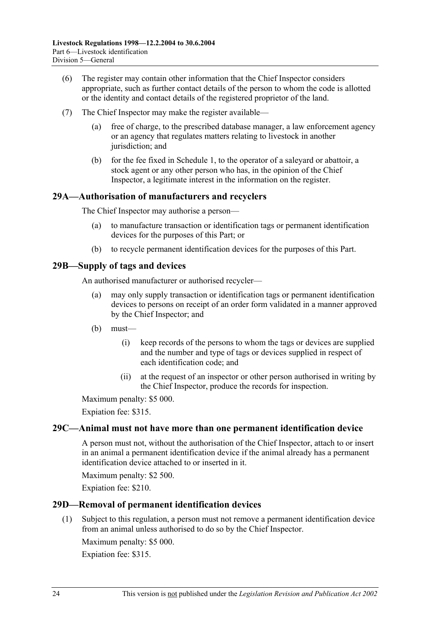- (6) The register may contain other information that the Chief Inspector considers appropriate, such as further contact details of the person to whom the code is allotted or the identity and contact details of the registered proprietor of the land.
- (7) The Chief Inspector may make the register available
	- free of charge, to the prescribed database manager, a law enforcement agency or an agency that regulates matters relating to livestock in another jurisdiction; and
	- (b) for the fee fixed in Schedule 1, to the operator of a saleyard or abattoir, a stock agent or any other person who has, in the opinion of the Chief Inspector, a legitimate interest in the information on the register.

## **29A—Authorisation of manufacturers and recyclers**

The Chief Inspector may authorise a person—

- (a) to manufacture transaction or identification tags or permanent identification devices for the purposes of this Part; or
- (b) to recycle permanent identification devices for the purposes of this Part.

## **29B—Supply of tags and devices**

An authorised manufacturer or authorised recycler—

- (a) may only supply transaction or identification tags or permanent identification devices to persons on receipt of an order form validated in a manner approved by the Chief Inspector; and
- (b) must—
	- (i) keep records of the persons to whom the tags or devices are supplied and the number and type of tags or devices supplied in respect of each identification code; and
	- (ii) at the request of an inspector or other person authorised in writing by the Chief Inspector, produce the records for inspection.

Maximum penalty: \$5 000.

Expiation fee: \$315.

## **29C—Animal must not have more than one permanent identification device**

A person must not, without the authorisation of the Chief Inspector, attach to or insert in an animal a permanent identification device if the animal already has a permanent identification device attached to or inserted in it.

Maximum penalty: \$2 500.

Expiation fee: \$210.

## **29D—Removal of permanent identification devices**

 (1) Subject to this regulation, a person must not remove a permanent identification device from an animal unless authorised to do so by the Chief Inspector.

Maximum penalty: \$5 000.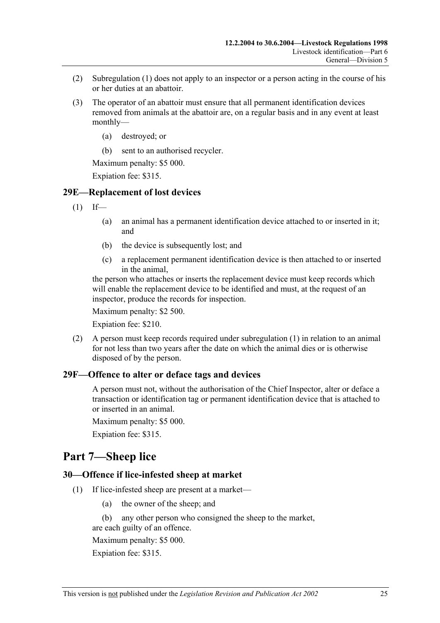- (2) Subregulation (1) does not apply to an inspector or a person acting in the course of his or her duties at an abattoir.
- (3) The operator of an abattoir must ensure that all permanent identification devices removed from animals at the abattoir are, on a regular basis and in any event at least monthly—
	- (a) destroyed; or
	- (b) sent to an authorised recycler.

Maximum penalty: \$5 000.

Expiation fee: \$315.

## **29E—Replacement of lost devices**

- $(1)$  If—
	- (a) an animal has a permanent identification device attached to or inserted in it; and
	- (b) the device is subsequently lost; and
	- (c) a replacement permanent identification device is then attached to or inserted in the animal,

the person who attaches or inserts the replacement device must keep records which will enable the replacement device to be identified and must, at the request of an inspector, produce the records for inspection.

Maximum penalty: \$2 500.

Expiation fee: \$210.

 (2) A person must keep records required under subregulation (1) in relation to an animal for not less than two years after the date on which the animal dies or is otherwise disposed of by the person.

#### **29F—Offence to alter or deface tags and devices**

A person must not, without the authorisation of the Chief Inspector, alter or deface a transaction or identification tag or permanent identification device that is attached to or inserted in an animal.

Maximum penalty: \$5 000.

Expiation fee: \$315.

## **Part 7—Sheep lice**

## **30—Offence if lice-infested sheep at market**

- (1) If lice-infested sheep are present at a market—
	- (a) the owner of the sheep; and
	- (b) any other person who consigned the sheep to the market,

are each guilty of an offence. Maximum penalty: \$5 000.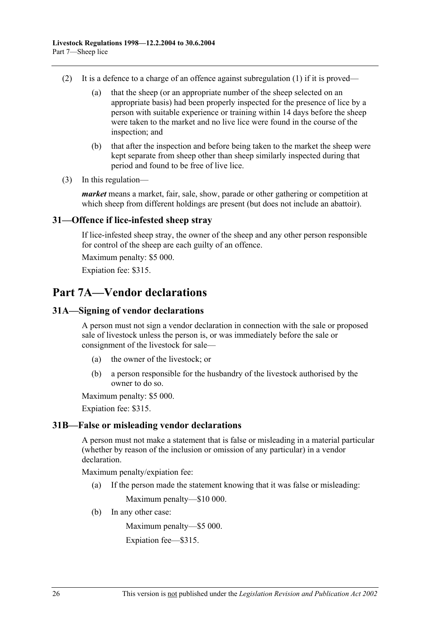- (2) It is a defence to a charge of an offence against subregulation (1) if it is proved—
	- (a) that the sheep (or an appropriate number of the sheep selected on an appropriate basis) had been properly inspected for the presence of lice by a person with suitable experience or training within 14 days before the sheep were taken to the market and no live lice were found in the course of the inspection; and
	- (b) that after the inspection and before being taken to the market the sheep were kept separate from sheep other than sheep similarly inspected during that period and found to be free of live lice.
- (3) In this regulation—

*market* means a market, fair, sale, show, parade or other gathering or competition at which sheep from different holdings are present (but does not include an abattoir).

#### **31—Offence if lice-infested sheep stray**

If lice-infested sheep stray, the owner of the sheep and any other person responsible for control of the sheep are each guilty of an offence.

Maximum penalty: \$5 000.

Expiation fee: \$315.

## **Part 7A—Vendor declarations**

### **31A—Signing of vendor declarations**

A person must not sign a vendor declaration in connection with the sale or proposed sale of livestock unless the person is, or was immediately before the sale or consignment of the livestock for sale—

- (a) the owner of the livestock; or
- (b) a person responsible for the husbandry of the livestock authorised by the owner to do so.

Maximum penalty: \$5 000.

Expiation fee: \$315.

#### **31B—False or misleading vendor declarations**

A person must not make a statement that is false or misleading in a material particular (whether by reason of the inclusion or omission of any particular) in a vendor declaration.

Maximum penalty/expiation fee:

(a) If the person made the statement knowing that it was false or misleading:

Maximum penalty—\$10 000.

(b) In any other case:

Maximum penalty—\$5 000.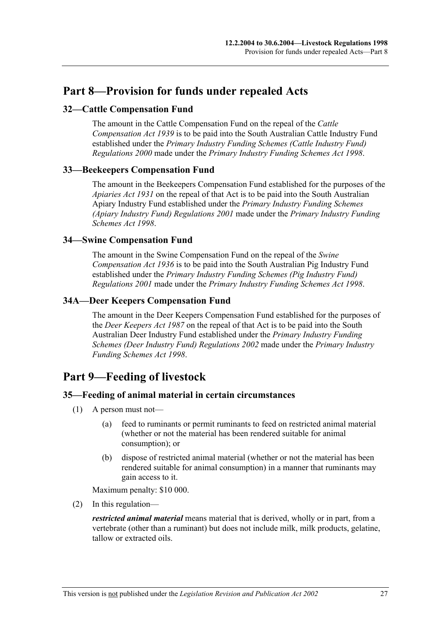# **Part 8—Provision for funds under repealed Acts**

## **32—Cattle Compensation Fund**

The amount in the Cattle Compensation Fund on the repeal of the *Cattle Compensation Act 1939* is to be paid into the South Australian Cattle Industry Fund established under the *Primary Industry Funding Schemes (Cattle Industry Fund) Regulations 2000* made under the *Primary Industry Funding Schemes Act 1998*.

## **33—Beekeepers Compensation Fund**

The amount in the Beekeepers Compensation Fund established for the purposes of the *Apiaries Act 1931* on the repeal of that Act is to be paid into the South Australian Apiary Industry Fund established under the *Primary Industry Funding Schemes (Apiary Industry Fund) Regulations 2001* made under the *Primary Industry Funding Schemes Act 1998*.

## **34—Swine Compensation Fund**

The amount in the Swine Compensation Fund on the repeal of the *Swine Compensation Act 1936* is to be paid into the South Australian Pig Industry Fund established under the *Primary Industry Funding Schemes (Pig Industry Fund) Regulations 2001* made under the *Primary Industry Funding Schemes Act 1998*.

## **34A—Deer Keepers Compensation Fund**

The amount in the Deer Keepers Compensation Fund established for the purposes of the *Deer Keepers Act 1987* on the repeal of that Act is to be paid into the South Australian Deer Industry Fund established under the *Primary Industry Funding Schemes (Deer Industry Fund) Regulations 2002* made under the *Primary Industry Funding Schemes Act 1998*.

## **Part 9—Feeding of livestock**

## **35—Feeding of animal material in certain circumstances**

- (1) A person must not—
	- (a) feed to ruminants or permit ruminants to feed on restricted animal material (whether or not the material has been rendered suitable for animal consumption); or
	- (b) dispose of restricted animal material (whether or not the material has been rendered suitable for animal consumption) in a manner that ruminants may gain access to it.

Maximum penalty: \$10 000.

(2) In this regulation—

*restricted animal material* means material that is derived, wholly or in part, from a vertebrate (other than a ruminant) but does not include milk, milk products, gelatine, tallow or extracted oils.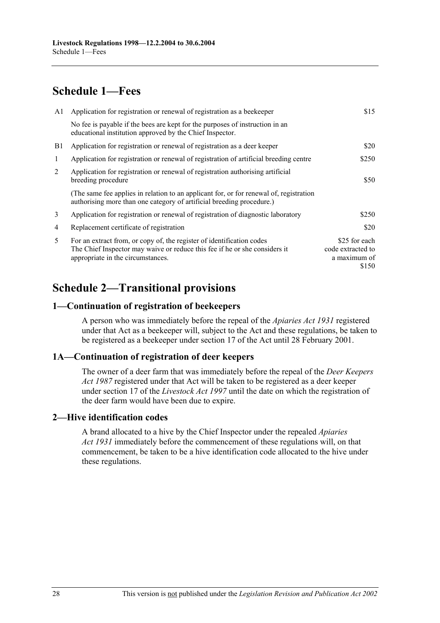# **Schedule 1—Fees**

| A1 | Application for registration or renewal of registration as a beekeeper                                                                                                                   | \$15                                                        |
|----|------------------------------------------------------------------------------------------------------------------------------------------------------------------------------------------|-------------------------------------------------------------|
|    | No fee is payable if the bees are kept for the purposes of instruction in an<br>educational institution approved by the Chief Inspector.                                                 |                                                             |
| B1 | Application for registration or renewal of registration as a deer keeper                                                                                                                 | \$20                                                        |
| 1  | Application for registration or renewal of registration of artificial breeding centre                                                                                                    | \$250                                                       |
| 2  | Application for registration or renewal of registration authorising artificial<br>breeding procedure                                                                                     | \$50                                                        |
|    | (The same fee applies in relation to an applicant for, or for renewal of, registration<br>authorising more than one category of artificial breeding procedure.)                          |                                                             |
| 3  | Application for registration or renewal of registration of diagnostic laboratory                                                                                                         | \$250                                                       |
| 4  | Replacement certificate of registration                                                                                                                                                  | \$20                                                        |
| 5  | For an extract from, or copy of, the register of identification codes<br>The Chief Inspector may waive or reduce this fee if he or she considers it<br>appropriate in the circumstances. | \$25 for each<br>code extracted to<br>a maximum of<br>\$150 |

# **Schedule 2—Transitional provisions**

## **1—Continuation of registration of beekeepers**

A person who was immediately before the repeal of the *Apiaries Act 1931* registered under that Act as a beekeeper will, subject to the Act and these regulations, be taken to be registered as a beekeeper under section 17 of the Act until 28 February 2001.

## **1A—Continuation of registration of deer keepers**

The owner of a deer farm that was immediately before the repeal of the *Deer Keepers Act 1987* registered under that Act will be taken to be registered as a deer keeper under section 17 of the *Livestock Act 1997* until the date on which the registration of the deer farm would have been due to expire.

## **2—Hive identification codes**

A brand allocated to a hive by the Chief Inspector under the repealed *Apiaries Act 1931* immediately before the commencement of these regulations will, on that commencement, be taken to be a hive identification code allocated to the hive under these regulations.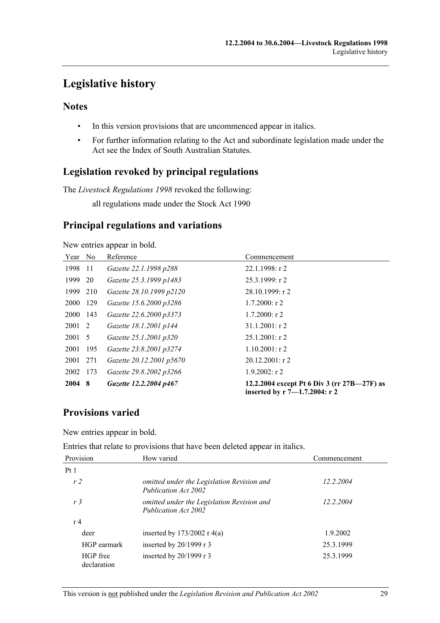# **Legislative history**

## **Notes**

- In this version provisions that are uncommenced appear in italics.
- For further information relating to the Act and subordinate legislation made under the Act see the Index of South Australian Statutes.

## **Legislation revoked by principal regulations**

The *Livestock Regulations 1998* revoked the following:

all regulations made under the Stock Act 1990

## **Principal regulations and variations**

New entries appear in bold.

| Year No     |       | Reference                | Commencement                                                                 |
|-------------|-------|--------------------------|------------------------------------------------------------------------------|
| 1998        | -11   | Gazette 22.1.1998 p288   | $22.1.1998:$ r 2                                                             |
| 1999        | 20    | Gazette 25.3.1999 p1483  | $25.3.1999:$ r 2                                                             |
| 1999        | 210   | Gazette 28.10.1999 p2120 | $28.10.1999$ : r 2                                                           |
| <b>2000</b> | 129   | Gazette 15.6.2000 p3286  | $1.7.2000$ : r 2                                                             |
| 2000        | 143   | Gazette 22.6.2000 p3373  | $1.7.2000$ : r 2                                                             |
| 2001 2      |       | Gazette 18.1.2001 p144   | $31.1.2001$ : r 2                                                            |
| 2001 5      |       | Gazette 25.1.2001 p320   | $25.1.2001$ : r 2                                                            |
| 2001        | - 195 | Gazette 23.8.2001 p3274  | $1.10.2001$ : r 2                                                            |
| 2001        | 271   | Gazette 20.12.2001 p5670 | $20.12.2001$ : r 2                                                           |
| 2002        | 173   | Gazette 29.8.2002 p3266  | $1.9.2002$ : r 2                                                             |
| 2004 8      |       | Gazette 12.2.2004 p467   | 12.2.2004 except Pt 6 Div 3 (rr 27B—27F) as<br>inserted by r 7-1.7.2004: r 2 |

## **Provisions varied**

New entries appear in bold.

Entries that relate to provisions that have been deleted appear in italics.

| Provision               | How varied                                                         | Commencement |
|-------------------------|--------------------------------------------------------------------|--------------|
| Pt <sub>1</sub>         |                                                                    |              |
| r <sub>2</sub>          | omitted under the Legislation Revision and<br>Publication Act 2002 | 12.2.2004    |
| r <sub>3</sub>          | omitted under the Legislation Revision and<br>Publication Act 2002 | 12.2.2004    |
| r 4                     |                                                                    |              |
| deer                    | inserted by $173/2002$ r 4(a)                                      | 1.9.2002     |
| HGP earmark             | inserted by 20/1999 r 3                                            | 25.3.1999    |
| HGP free<br>declaration | inserted by $20/1999$ r 3                                          | 25.3.1999    |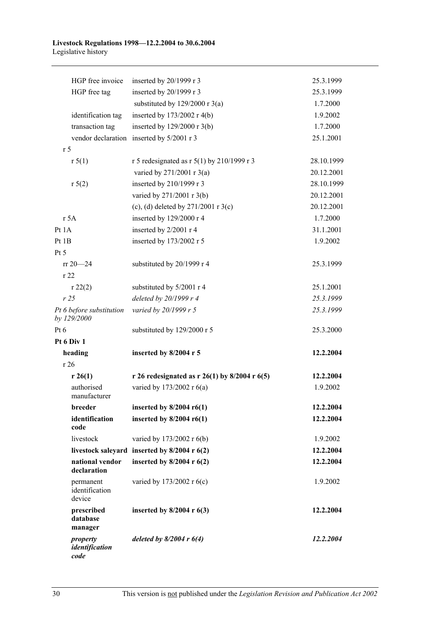#### **Livestock Regulations 1998—12.2.2004 to 30.6.2004**  Legislative history

| HGP free invoice                        | inserted by 20/1999 r 3                       | 25.3.1999  |
|-----------------------------------------|-----------------------------------------------|------------|
| HGP free tag                            | inserted by 20/1999 r 3                       | 25.3.1999  |
|                                         | substituted by $129/2000$ r 3(a)              | 1.7.2000   |
| identification tag                      | inserted by $173/2002$ r 4(b)                 | 1.9.2002   |
| transaction tag                         | inserted by $129/2000$ r 3(b)                 | 1.7.2000   |
|                                         | vendor declaration inserted by 5/2001 r 3     | 25.1.2001  |
| r <sub>5</sub>                          |                                               |            |
| r 5(1)                                  | r 5 redesignated as r $5(1)$ by 210/1999 r 3  | 28.10.1999 |
|                                         | varied by 271/2001 r 3(a)                     | 20.12.2001 |
| r 5(2)                                  | inserted by 210/1999 r 3                      | 28.10.1999 |
|                                         | varied by 271/2001 r 3(b)                     | 20.12.2001 |
|                                         | (c), (d) deleted by $271/2001$ r 3(c)         | 20.12.2001 |
| r 5A                                    | inserted by 129/2000 r 4                      | 1.7.2000   |
| Pt 1A                                   | inserted by 2/2001 r 4                        | 31.1.2001  |
| Pt 1B                                   | inserted by 173/2002 r 5                      | 1.9.2002   |
| Pt 5                                    |                                               |            |
| $rr 20 - 24$                            | substituted by 20/1999 r 4                    | 25.3.1999  |
| r 22                                    |                                               |            |
| r 22(2)                                 | substituted by 5/2001 r 4                     | 25.1.2001  |
| r25                                     | deleted by 20/1999 r 4                        | 25.3.1999  |
| Pt 6 before substitution<br>by 129/2000 | varied by 20/1999 r 5                         | 25.3.1999  |
| Pt 6                                    | substituted by 129/2000 r 5                   | 25.3.2000  |
| Pt 6 Div 1                              |                                               |            |
| heading                                 | inserted by 8/2004 r 5                        | 12.2.2004  |
| r26                                     |                                               |            |
| r 26(1)                                 | r 26 redesignated as r 26(1) by 8/2004 r 6(5) | 12.2.2004  |
| authorised<br>manufacturer              | varied by 173/2002 r 6(a)                     | 1.9.2002   |
| breeder                                 | inserted by $8/2004$ r6(1)                    | 12.2.2004  |
| identification<br>code                  | inserted by $8/2004$ r6(1)                    | 12.2.2004  |
| livestock                               | varied by 173/2002 r 6(b)                     | 1.9.2002   |
| livestock saleyard                      | inserted by $8/2004$ r $6(2)$                 | 12.2.2004  |
| national vendor<br>declaration          | inserted by $8/2004$ r $6(2)$                 | 12.2.2004  |
| permanent<br>identification<br>device   | varied by 173/2002 r 6(c)                     | 1.9.2002   |
| prescribed<br>database<br>manager       | inserted by $8/2004$ r $6(3)$                 | 12.2.2004  |
| property<br>identification<br>code      | deleted by $8/2004$ r $6(4)$                  | 12.2.2004  |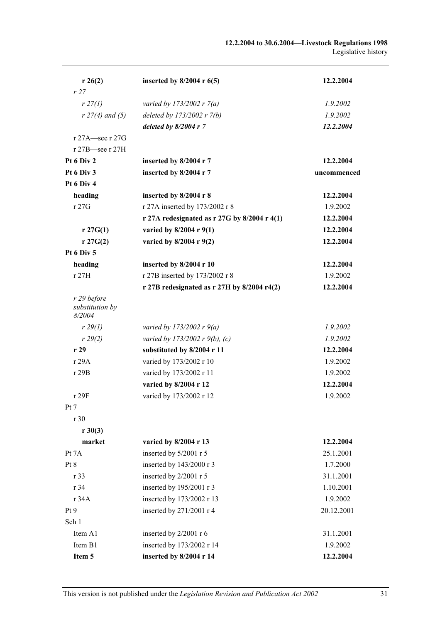| r 26(2)                                  | inserted by $8/2004$ r $6(5)$                  | 12.2.2004   |
|------------------------------------------|------------------------------------------------|-------------|
| r27                                      |                                                |             |
| $r \, 27(1)$                             | varied by $173/2002 r 7(a)$                    | 1.9.2002    |
| $r$ 27(4) and (5)                        | deleted by 173/2002 r 7(b)                     | 1.9.2002    |
|                                          | deleted by $8/2004$ r 7                        | 12.2.2004   |
| r 27A-see r 27G                          |                                                |             |
| r 27B-see r 27H                          |                                                |             |
| Pt 6 Div 2                               | inserted by 8/2004 r 7                         | 12.2.2004   |
| Pt 6 Div 3                               | inserted by 8/2004 r 7                         | uncommenced |
| Pt 6 Div 4                               |                                                |             |
| heading                                  | inserted by 8/2004 r 8                         | 12.2.2004   |
| r 27G                                    | r 27A inserted by 173/2002 r 8                 | 1.9.2002    |
|                                          | r 27A redesignated as $r$ 27G by 8/2004 r 4(1) | 12.2.2004   |
| $r \, 27G(1)$                            | varied by $8/2004$ r $9(1)$                    | 12.2.2004   |
| $r \, 27G(2)$                            | varied by 8/2004 r 9(2)                        | 12.2.2004   |
| Pt 6 Div 5                               |                                                |             |
| heading                                  | inserted by 8/2004 r 10                        | 12.2.2004   |
| r 27H                                    | r 27B inserted by 173/2002 r 8                 | 1.9.2002    |
|                                          | r 27B redesignated as $r$ 27H by 8/2004 r4(2)  | 12.2.2004   |
| r 29 before<br>substitution by<br>8/2004 |                                                |             |
| r 29(1)                                  | varied by 173/2002 r $9(a)$                    | 1.9.2002    |
| r 29(2)                                  | varied by 173/2002 r 9(b), (c)                 | 1.9.2002    |
| r29                                      | substituted by 8/2004 r 11                     | 12.2.2004   |
| r 29A                                    | varied by 173/2002 r 10                        | 1.9.2002    |
| r 29B                                    | varied by 173/2002 r 11                        | 1.9.2002    |
|                                          | varied by 8/2004 r 12                          | 12.2.2004   |
| r 29F                                    | varied by 173/2002 r 12                        | 1.9.2002    |
| Pt 7                                     |                                                |             |
| r 30                                     |                                                |             |
| $r \, 30(3)$                             |                                                |             |
| market                                   | varied by 8/2004 r 13                          | 12.2.2004   |
| Pt 7A                                    | inserted by 5/2001 r 5                         | 25.1.2001   |
| Pt 8                                     | inserted by 143/2000 r 3                       | 1.7.2000    |
| r 33                                     | inserted by 2/2001 r 5                         | 31.1.2001   |
| r 34                                     | inserted by 195/2001 r 3                       | 1.10.2001   |
| r 34A                                    | inserted by 173/2002 r 13                      | 1.9.2002    |
| Pt9                                      | inserted by 271/2001 r 4                       | 20.12.2001  |
| Sch 1                                    |                                                |             |
| Item A1                                  | inserted by 2/2001 r 6                         | 31.1.2001   |
| Item B1                                  | inserted by 173/2002 r 14                      | 1.9.2002    |
| Item 5                                   | inserted by 8/2004 r 14                        | 12.2.2004   |